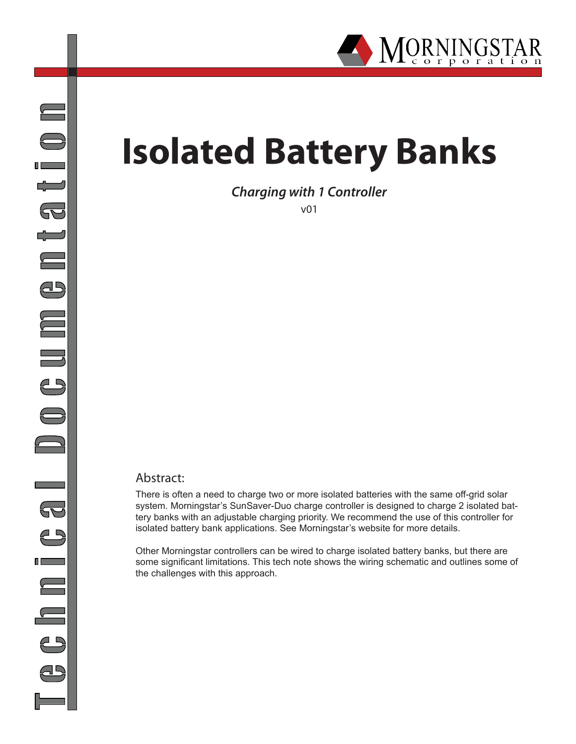

## **Isolated Battery Banks**

*Charging with 1 Controller*

v01

## Abstract:

There is often a need to charge two or more isolated batteries with the same off-grid solar system. Morningstar's SunSaver-Duo charge controller is designed to charge 2 isolated battery banks with an adjustable charging priority. We recommend the use of this controller for isolated battery bank applications. See Morningstar's website for more details.

Other Morningstar controllers can be wired to charge isolated battery banks, but there are some significant limitations. This tech note shows the wiring schematic and outlines some of the challenges with this approach.